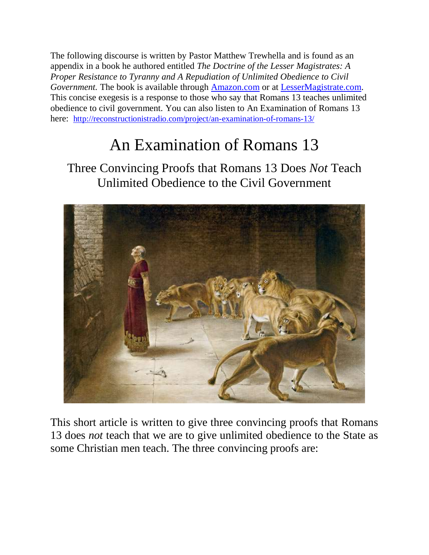The following discourse is written by Pastor Matthew Trewhella and is found as an appendix in a book he authored entitled *The Doctrine of the Lesser Magistrates: A Proper Resistance to Tyranny and A Repudiation of Unlimited Obedience to Civil Government*. The book is available through **Amazon.com** or at **LesserMagistrate.com**. This concise exegesis is a response to those who say that Romans 13 teaches unlimited obedience to civil government. You can also listen to An Examination of Romans 13 here: <http://reconstructionistradio.com/project/an-examination-of-romans-13/>

## An Examination of Romans 13

Three Convincing Proofs that Romans 13 Does *Not* Teach Unlimited Obedience to the Civil Government



This short article is written to give three convincing proofs that Romans 13 does *not* teach that we are to give unlimited obedience to the State as some Christian men teach. The three convincing proofs are: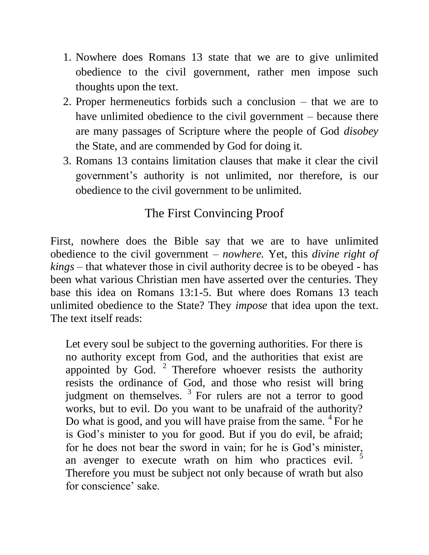- 1. Nowhere does Romans 13 state that we are to give unlimited obedience to the civil government, rather men impose such thoughts upon the text.
- 2. Proper hermeneutics forbids such a conclusion that we are to have unlimited obedience to the civil government – because there are many passages of Scripture where the people of God *disobey* the State, and are commended by God for doing it.
- 3. Romans 13 contains limitation clauses that make it clear the civil government's authority is not unlimited, nor therefore, is our obedience to the civil government to be unlimited.

## The First Convincing Proof

First, nowhere does the Bible say that we are to have unlimited obedience to the civil government – *nowhere.* Yet, this *divine right of kings* – that whatever those in civil authority decree is to be obeyed - has been what various Christian men have asserted over the centuries. They base this idea on Romans 13:1-5. But where does Romans 13 teach unlimited obedience to the State? They *impose* that idea upon the text. The text itself reads:

Let every soul be subject to the governing authorities. For there is no authority except from God, and the authorities that exist are appointed by God.  $2$  Therefore whoever resists the authority resists the ordinance of God, and those who resist will bring judgment on themselves.  $3$  For rulers are not a terror to good works, but to evil. Do you want to be unafraid of the authority? Do what is good, and you will have praise from the same. <sup>4</sup> For he is God's minister to you for good. But if you do evil, be afraid; for he does not bear the sword in vain; for he is God's minister, an avenger to execute wrath on him who practices evil. Therefore you must be subject not only because of wrath but also for conscience' sake.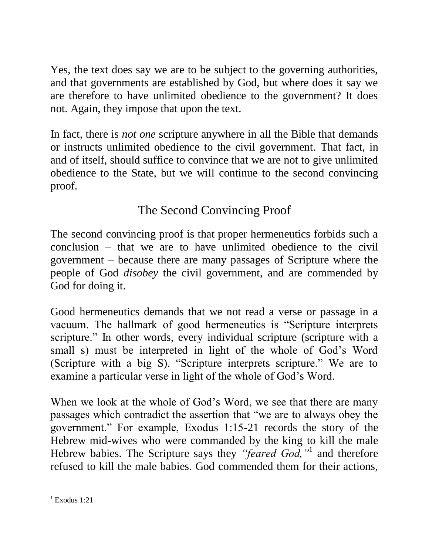Yes, the text does say we are to be subject to the governing authorities, and that governments are established by God, but where does it say we are therefore to have unlimited obedience to the government? It does not. Again, they impose that upon the text.

In fact, there is *not one* scripture anywhere in all the Bible that demands or instructs unlimited obedience to the civil government. That fact, in and of itself, should suffice to convince that we are not to give unlimited obedience to the State, but we will continue to the second convincing proof.

## The Second Convincing Proof

The second convincing proof is that proper hermeneutics forbids such a conclusion – that we are to have unlimited obedience to the civil government – because there are many passages of Scripture where the people of God *disobey* the civil government, and are commended by God for doing it.

Good hermeneutics demands that we not read a verse or passage in a vacuum. The hallmark of good hermeneutics is "Scripture interprets scripture." In other words, every individual scripture (scripture with a small s) must be interpreted in light of the whole of God's Word (Scripture with a big S). "Scripture interprets scripture." We are to examine a particular verse in light of the whole of God's Word.

When we look at the whole of God's Word, we see that there are many passages which contradict the assertion that "we are to always obey the government." For example, Exodus 1:15-21 records the story of the Hebrew mid-wives who were commanded by the king to kill the male Hebrew babies. The Scripture says they *"feared God,"*<sup>1</sup> and therefore refused to kill the male babies. God commended them for their actions,

 1 Exodus 1:21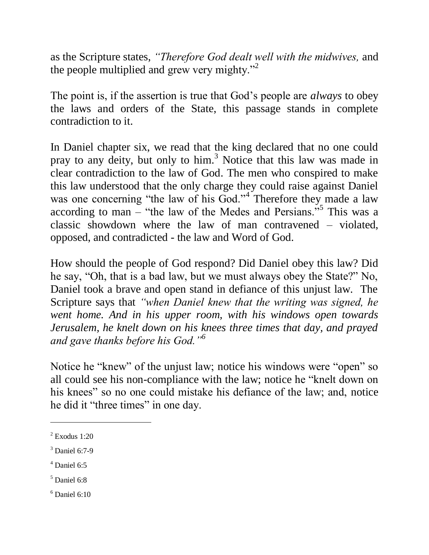as the Scripture states, *"Therefore God dealt well with the midwives,* and the people multiplied and grew very mighty. $^{22}$ 

The point is, if the assertion is true that God's people are *always* to obey the laws and orders of the State, this passage stands in complete contradiction to it.

In Daniel chapter six, we read that the king declared that no one could pray to any deity, but only to him.<sup>3</sup> Notice that this law was made in clear contradiction to the law of God. The men who conspired to make this law understood that the only charge they could raise against Daniel was one concerning "the law of his God."<sup>4</sup> Therefore they made a law according to man  $-$  "the law of the Medes and Persians."<sup>5</sup> This was a classic showdown where the law of man contravened – violated, opposed, and contradicted - the law and Word of God.

How should the people of God respond? Did Daniel obey this law? Did he say, "Oh, that is a bad law, but we must always obey the State?" No, Daniel took a brave and open stand in defiance of this unjust law. The Scripture says that *"when Daniel knew that the writing was signed, he went home. And in his upper room, with his windows open towards Jerusalem, he knelt down on his knees three times that day, and prayed and gave thanks before his God."<sup>6</sup>* 

Notice he "knew" of the unjust law; notice his windows were "open" so all could see his non-compliance with the law; notice he "knelt down on his knees" so no one could mistake his defiance of the law; and, notice he did it "three times" in one day.

 $\overline{a}$ 

 $<sup>4</sup>$  Daniel 6:5</sup>

 $2$  Exodus 1:20

<sup>3</sup> Daniel 6:7-9

 $<sup>5</sup>$  Daniel 6:8</sup>

 $6$  Daniel 6:10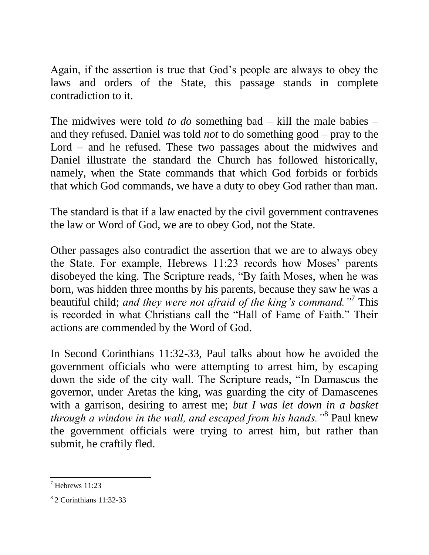Again, if the assertion is true that God's people are always to obey the laws and orders of the State, this passage stands in complete contradiction to it.

The midwives were told *to do* something bad – kill the male babies – and they refused. Daniel was told *not* to do something good – pray to the Lord – and he refused. These two passages about the midwives and Daniel illustrate the standard the Church has followed historically, namely, when the State commands that which God forbids or forbids that which God commands, we have a duty to obey God rather than man.

The standard is that if a law enacted by the civil government contravenes the law or Word of God, we are to obey God, not the State.

Other passages also contradict the assertion that we are to always obey the State. For example, Hebrews 11:23 records how Moses' parents disobeyed the king. The Scripture reads, "By faith Moses, when he was born, was hidden three months by his parents, because they saw he was a beautiful child; *and they were not afraid of the king's command."*<sup>7</sup> This is recorded in what Christians call the "Hall of Fame of Faith." Their actions are commended by the Word of God.

In Second Corinthians 11:32-33, Paul talks about how he avoided the government officials who were attempting to arrest him, by escaping down the side of the city wall. The Scripture reads, "In Damascus the governor, under Aretas the king, was guarding the city of Damascenes with a garrison, desiring to arrest me; *but I was let down in a basket through a window in the wall, and escaped from his hands."*<sup>8</sup> Paul knew the government officials were trying to arrest him, but rather than submit, he craftily fled.

 $<sup>7</sup>$  Hebrews 11:23</sup>

<sup>8</sup> 2 Corinthians 11:32-33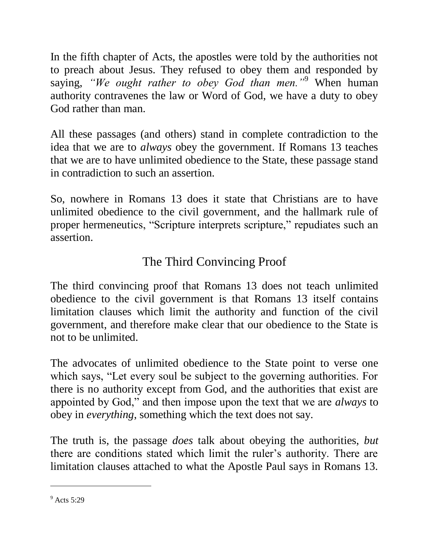In the fifth chapter of Acts, the apostles were told by the authorities not to preach about Jesus. They refused to obey them and responded by saying, *"We ought rather to obey God than men."*<sup>9</sup> When human authority contravenes the law or Word of God, we have a duty to obey God rather than man.

All these passages (and others) stand in complete contradiction to the idea that we are to *always* obey the government. If Romans 13 teaches that we are to have unlimited obedience to the State, these passage stand in contradiction to such an assertion.

So, nowhere in Romans 13 does it state that Christians are to have unlimited obedience to the civil government, and the hallmark rule of proper hermeneutics, "Scripture interprets scripture," repudiates such an assertion.

## The Third Convincing Proof

The third convincing proof that Romans 13 does not teach unlimited obedience to the civil government is that Romans 13 itself contains limitation clauses which limit the authority and function of the civil government, and therefore make clear that our obedience to the State is not to be unlimited.

The advocates of unlimited obedience to the State point to verse one which says, "Let every soul be subject to the governing authorities. For there is no authority except from God, and the authorities that exist are appointed by God," and then impose upon the text that we are *always* to obey in *everything*, something which the text does not say.

The truth is, the passage *does* talk about obeying the authorities, *but* there are conditions stated which limit the ruler's authority. There are limitation clauses attached to what the Apostle Paul says in Romans 13.

 $9$  Acts 5:29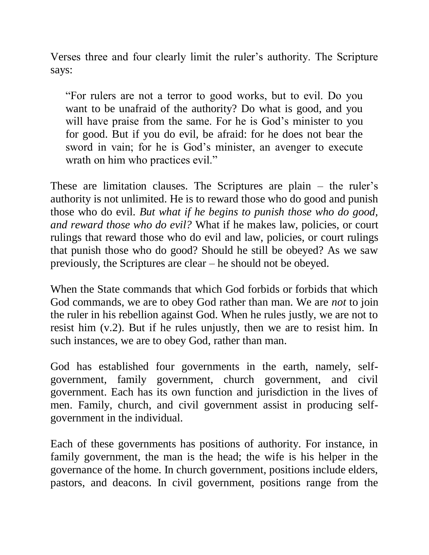Verses three and four clearly limit the ruler's authority. The Scripture says:

"For rulers are not a terror to good works, but to evil. Do you want to be unafraid of the authority? Do what is good, and you will have praise from the same. For he is God's minister to you for good. But if you do evil, be afraid: for he does not bear the sword in vain; for he is God's minister, an avenger to execute wrath on him who practices evil."

These are limitation clauses. The Scriptures are plain – the ruler's authority is not unlimited. He is to reward those who do good and punish those who do evil. *But what if he begins to punish those who do good, and reward those who do evil?* What if he makes law, policies, or court rulings that reward those who do evil and law, policies, or court rulings that punish those who do good? Should he still be obeyed? As we saw previously, the Scriptures are clear – he should not be obeyed.

When the State commands that which God forbids or forbids that which God commands, we are to obey God rather than man. We are *not* to join the ruler in his rebellion against God. When he rules justly, we are not to resist him (v.2). But if he rules unjustly, then we are to resist him. In such instances, we are to obey God, rather than man.

God has established four governments in the earth, namely, selfgovernment, family government, church government, and civil government. Each has its own function and jurisdiction in the lives of men. Family, church, and civil government assist in producing selfgovernment in the individual.

Each of these governments has positions of authority. For instance, in family government, the man is the head; the wife is his helper in the governance of the home. In church government, positions include elders, pastors, and deacons. In civil government, positions range from the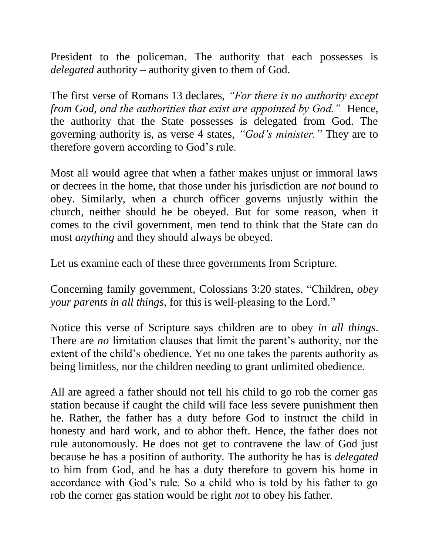President to the policeman. The authority that each possesses is *delegated* authority – authority given to them of God.

The first verse of Romans 13 declares, *"For there is no authority except from God, and the authorities that exist are appointed by God.*" Hence, the authority that the State possesses is delegated from God. The governing authority is, as verse 4 states, *"God's minister."* They are to therefore govern according to God's rule.

Most all would agree that when a father makes unjust or immoral laws or decrees in the home, that those under his jurisdiction are *not* bound to obey. Similarly, when a church officer governs unjustly within the church, neither should he be obeyed. But for some reason, when it comes to the civil government, men tend to think that the State can do most *anything* and they should always be obeyed.

Let us examine each of these three governments from Scripture.

Concerning family government, Colossians 3:20 states, "Children, *obey your parents in all things,* for this is well-pleasing to the Lord."

Notice this verse of Scripture says children are to obey *in all things*. There are *no* limitation clauses that limit the parent's authority, nor the extent of the child's obedience. Yet no one takes the parents authority as being limitless, nor the children needing to grant unlimited obedience.

All are agreed a father should not tell his child to go rob the corner gas station because if caught the child will face less severe punishment then he. Rather, the father has a duty before God to instruct the child in honesty and hard work, and to abhor theft. Hence, the father does not rule autonomously. He does not get to contravene the law of God just because he has a position of authority. The authority he has is *delegated* to him from God, and he has a duty therefore to govern his home in accordance with God's rule. So a child who is told by his father to go rob the corner gas station would be right *not* to obey his father.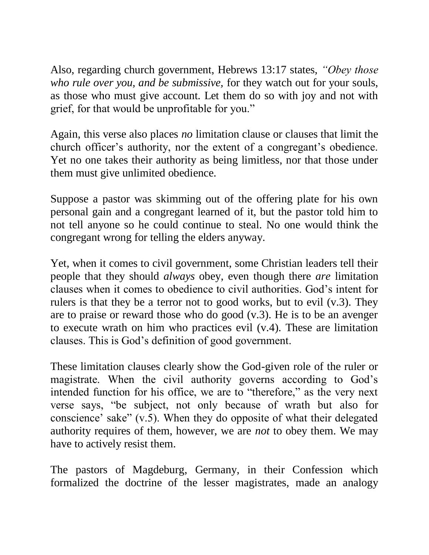Also, regarding church government, Hebrews 13:17 states, *"Obey those who rule over you, and be submissive,* for they watch out for your souls, as those who must give account. Let them do so with joy and not with grief, for that would be unprofitable for you."

Again, this verse also places *no* limitation clause or clauses that limit the church officer's authority, nor the extent of a congregant's obedience. Yet no one takes their authority as being limitless, nor that those under them must give unlimited obedience.

Suppose a pastor was skimming out of the offering plate for his own personal gain and a congregant learned of it, but the pastor told him to not tell anyone so he could continue to steal. No one would think the congregant wrong for telling the elders anyway.

Yet, when it comes to civil government, some Christian leaders tell their people that they should *always* obey, even though there *are* limitation clauses when it comes to obedience to civil authorities. God's intent for rulers is that they be a terror not to good works, but to evil  $(v.3)$ . They are to praise or reward those who do good (v.3). He is to be an avenger to execute wrath on him who practices evil (v.4). These are limitation clauses. This is God's definition of good government.

These limitation clauses clearly show the God-given role of the ruler or magistrate. When the civil authority governs according to God's intended function for his office, we are to "therefore," as the very next verse says, "be subject, not only because of wrath but also for conscience' sake" (v.5). When they do opposite of what their delegated authority requires of them, however, we are *not* to obey them. We may have to actively resist them.

The pastors of Magdeburg, Germany, in their Confession which formalized the doctrine of the lesser magistrates, made an analogy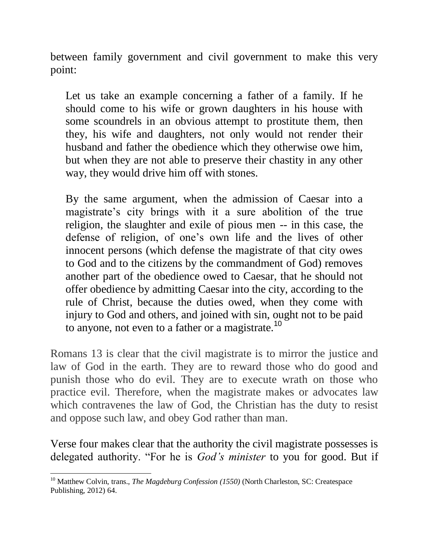between family government and civil government to make this very point:

Let us take an example concerning a father of a family. If he should come to his wife or grown daughters in his house with some scoundrels in an obvious attempt to prostitute them, then they, his wife and daughters, not only would not render their husband and father the obedience which they otherwise owe him, but when they are not able to preserve their chastity in any other way, they would drive him off with stones.

By the same argument, when the admission of Caesar into a magistrate's city brings with it a sure abolition of the true religion, the slaughter and exile of pious men -- in this case, the defense of religion, of one's own life and the lives of other innocent persons (which defense the magistrate of that city owes to God and to the citizens by the commandment of God) removes another part of the obedience owed to Caesar, that he should not offer obedience by admitting Caesar into the city, according to the rule of Christ, because the duties owed, when they come with injury to God and others, and joined with sin, ought not to be paid to anyone, not even to a father or a magistrate.<sup>10</sup>

Romans 13 is clear that the civil magistrate is to mirror the justice and law of God in the earth. They are to reward those who do good and punish those who do evil. They are to execute wrath on those who practice evil. Therefore, when the magistrate makes or advocates law which contravenes the law of God, the Christian has the duty to resist and oppose such law, and obey God rather than man.

Verse four makes clear that the authority the civil magistrate possesses is delegated authority. "For he is *God's minister* to you for good. But if

 $\overline{a}$ <sup>10</sup> Matthew Colvin, trans., *The Magdeburg Confession (1550)* (North Charleston, SC: Createspace Publishing, 2012) 64.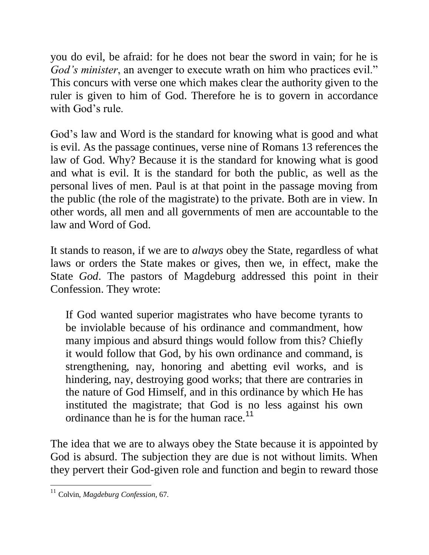you do evil, be afraid: for he does not bear the sword in vain; for he is *God's minister*, an avenger to execute wrath on him who practices evil." This concurs with verse one which makes clear the authority given to the ruler is given to him of God. Therefore he is to govern in accordance with God's rule.

God's law and Word is the standard for knowing what is good and what is evil. As the passage continues, verse nine of Romans 13 references the law of God. Why? Because it is the standard for knowing what is good and what is evil. It is the standard for both the public, as well as the personal lives of men. Paul is at that point in the passage moving from the public (the role of the magistrate) to the private. Both are in view. In other words, all men and all governments of men are accountable to the law and Word of God.

It stands to reason, if we are to *always* obey the State, regardless of what laws or orders the State makes or gives, then we, in effect, make the State *God*. The pastors of Magdeburg addressed this point in their Confession. They wrote:

If God wanted superior magistrates who have become tyrants to be inviolable because of his ordinance and commandment, how many impious and absurd things would follow from this? Chiefly it would follow that God, by his own ordinance and command, is strengthening, nay, honoring and abetting evil works, and is hindering, nay, destroying good works; that there are contraries in the nature of God Himself, and in this ordinance by which He has instituted the magistrate; that God is no less against his own ordinance than he is for the human race.<sup>11</sup>

The idea that we are to always obey the State because it is appointed by God is absurd. The subjection they are due is not without limits. When they pervert their God-given role and function and begin to reward those

<sup>11</sup> Colvin, *Magdeburg Confession,* 67.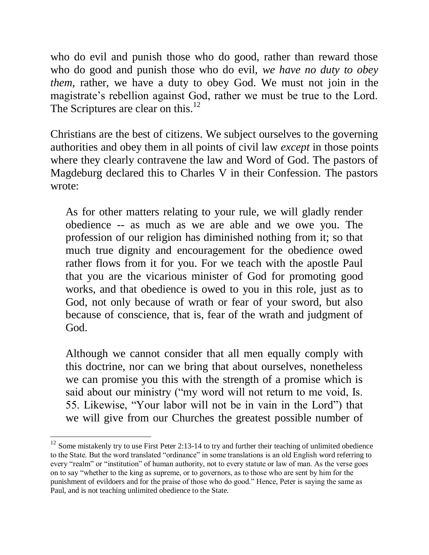who do evil and punish those who do good, rather than reward those who do good and punish those who do evil, *we have no duty to obey them*, rather, we have a duty to obey God. We must not join in the magistrate's rebellion against God, rather we must be true to the Lord. The Scriptures are clear on this.<sup>12</sup>

Christians are the best of citizens. We subject ourselves to the governing authorities and obey them in all points of civil law *except* in those points where they clearly contravene the law and Word of God. The pastors of Magdeburg declared this to Charles V in their Confession. The pastors wrote:

As for other matters relating to your rule, we will gladly render obedience -- as much as we are able and we owe you. The profession of our religion has diminished nothing from it; so that much true dignity and encouragement for the obedience owed rather flows from it for you. For we teach with the apostle Paul that you are the vicarious minister of God for promoting good works, and that obedience is owed to you in this role, just as to God, not only because of wrath or fear of your sword, but also because of conscience, that is, fear of the wrath and judgment of God.

Although we cannot consider that all men equally comply with this doctrine, nor can we bring that about ourselves, nonetheless we can promise you this with the strength of a promise which is said about our ministry ("my word will not return to me void, Is. 55. Likewise, "Your labor will not be in vain in the Lord") that we will give from our Churches the greatest possible number of

 $12$  Some mistakenly try to use First Peter 2:13-14 to try and further their teaching of unlimited obedience to the State. But the word translated "ordinance" in some translations is an old English word referring to every "realm" or "institution" of human authority, not to every statute or law of man. As the verse goes on to say "whether to the king as supreme, or to governors, as to those who are sent by him for the punishment of evildoers and for the praise of those who do good." Hence, Peter is saying the same as Paul, and is not teaching unlimited obedience to the State.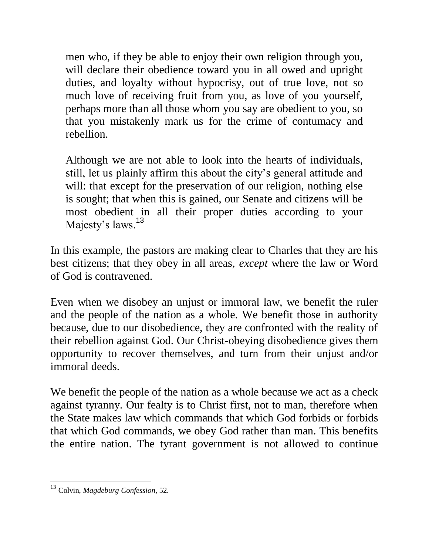men who, if they be able to enjoy their own religion through you, will declare their obedience toward you in all owed and upright duties, and loyalty without hypocrisy, out of true love, not so much love of receiving fruit from you, as love of you yourself, perhaps more than all those whom you say are obedient to you, so that you mistakenly mark us for the crime of contumacy and rebellion.

Although we are not able to look into the hearts of individuals, still, let us plainly affirm this about the city's general attitude and will: that except for the preservation of our religion, nothing else is sought; that when this is gained, our Senate and citizens will be most obedient in all their proper duties according to your Majesty's laws.<sup>13</sup>

In this example, the pastors are making clear to Charles that they are his best citizens; that they obey in all areas, *except* where the law or Word of God is contravened.

Even when we disobey an unjust or immoral law, we benefit the ruler and the people of the nation as a whole. We benefit those in authority because, due to our disobedience, they are confronted with the reality of their rebellion against God. Our Christ-obeying disobedience gives them opportunity to recover themselves, and turn from their unjust and/or immoral deeds.

We benefit the people of the nation as a whole because we act as a check against tyranny. Our fealty is to Christ first, not to man, therefore when the State makes law which commands that which God forbids or forbids that which God commands, we obey God rather than man. This benefits the entire nation. The tyrant government is not allowed to continue

<sup>13</sup> Colvin, *Magdeburg Confession,* 52.